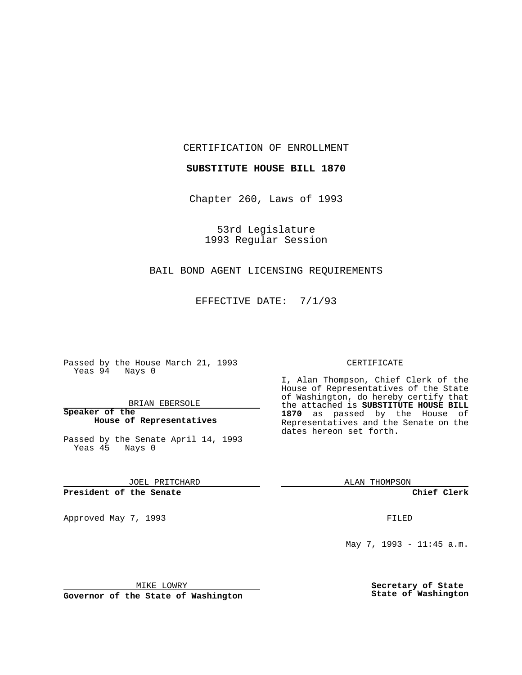CERTIFICATION OF ENROLLMENT

**SUBSTITUTE HOUSE BILL 1870**

Chapter 260, Laws of 1993

53rd Legislature 1993 Regular Session

## BAIL BOND AGENT LICENSING REQUIREMENTS

EFFECTIVE DATE: 7/1/93

Passed by the House March 21, 1993 Yeas 94 Nays 0

BRIAN EBERSOLE

**Speaker of the House of Representatives**

Passed by the Senate April 14, 1993 Yeas 45 Nays 0

JOEL PRITCHARD

**President of the Senate**

Approved May 7, 1993 **FILED** 

## CERTIFICATE

I, Alan Thompson, Chief Clerk of the House of Representatives of the State of Washington, do hereby certify that the attached is **SUBSTITUTE HOUSE BILL 1870** as passed by the House of Representatives and the Senate on the dates hereon set forth.

ALAN THOMPSON

**Chief Clerk**

May 7, 1993 - 11:45 a.m.

MIKE LOWRY

**Governor of the State of Washington**

**Secretary of State State of Washington**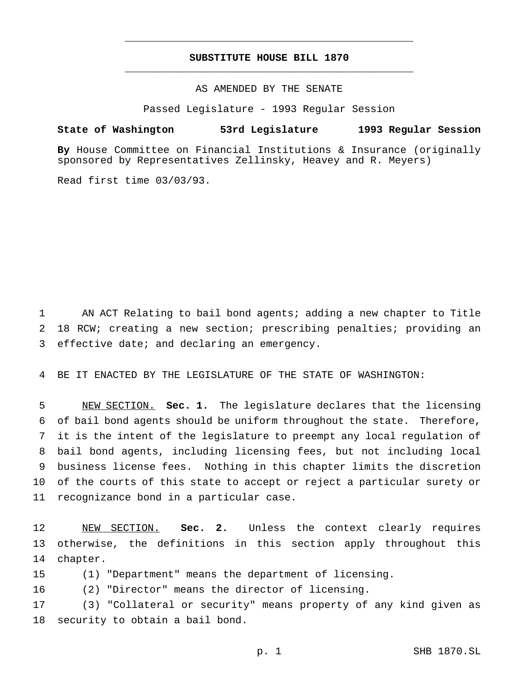## **SUBSTITUTE HOUSE BILL 1870** \_\_\_\_\_\_\_\_\_\_\_\_\_\_\_\_\_\_\_\_\_\_\_\_\_\_\_\_\_\_\_\_\_\_\_\_\_\_\_\_\_\_\_\_\_\_\_

\_\_\_\_\_\_\_\_\_\_\_\_\_\_\_\_\_\_\_\_\_\_\_\_\_\_\_\_\_\_\_\_\_\_\_\_\_\_\_\_\_\_\_\_\_\_\_

AS AMENDED BY THE SENATE

Passed Legislature - 1993 Regular Session

## **State of Washington 53rd Legislature 1993 Regular Session**

**By** House Committee on Financial Institutions & Insurance (originally sponsored by Representatives Zellinsky, Heavey and R. Meyers)

Read first time 03/03/93.

 AN ACT Relating to bail bond agents; adding a new chapter to Title 18 RCW; creating a new section; prescribing penalties; providing an effective date; and declaring an emergency.

BE IT ENACTED BY THE LEGISLATURE OF THE STATE OF WASHINGTON:

 NEW SECTION. **Sec. 1.** The legislature declares that the licensing of bail bond agents should be uniform throughout the state. Therefore, it is the intent of the legislature to preempt any local regulation of bail bond agents, including licensing fees, but not including local business license fees. Nothing in this chapter limits the discretion of the courts of this state to accept or reject a particular surety or recognizance bond in a particular case.

 NEW SECTION. **Sec. 2.** Unless the context clearly requires otherwise, the definitions in this section apply throughout this chapter.

(1) "Department" means the department of licensing.

(2) "Director" means the director of licensing.

 (3) "Collateral or security" means property of any kind given as security to obtain a bail bond.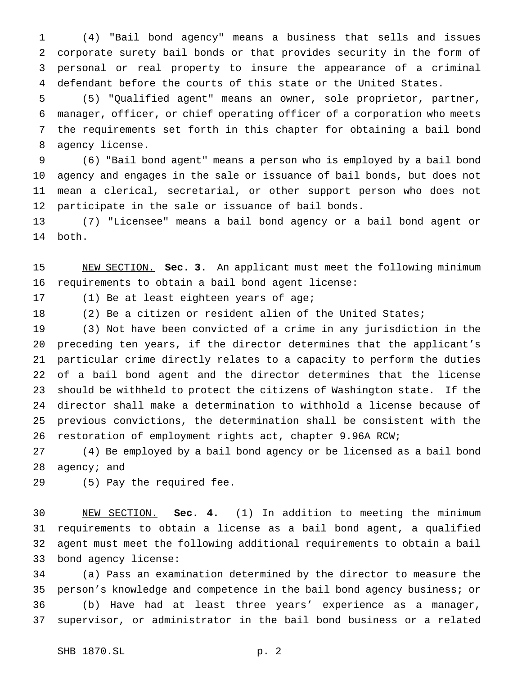(4) "Bail bond agency" means a business that sells and issues corporate surety bail bonds or that provides security in the form of personal or real property to insure the appearance of a criminal defendant before the courts of this state or the United States.

 (5) "Qualified agent" means an owner, sole proprietor, partner, manager, officer, or chief operating officer of a corporation who meets the requirements set forth in this chapter for obtaining a bail bond agency license.

 (6) "Bail bond agent" means a person who is employed by a bail bond agency and engages in the sale or issuance of bail bonds, but does not mean a clerical, secretarial, or other support person who does not participate in the sale or issuance of bail bonds.

 (7) "Licensee" means a bail bond agency or a bail bond agent or both.

 NEW SECTION. **Sec. 3.** An applicant must meet the following minimum requirements to obtain a bail bond agent license:

(1) Be at least eighteen years of age;

(2) Be a citizen or resident alien of the United States;

 (3) Not have been convicted of a crime in any jurisdiction in the preceding ten years, if the director determines that the applicant's particular crime directly relates to a capacity to perform the duties of a bail bond agent and the director determines that the license should be withheld to protect the citizens of Washington state. If the director shall make a determination to withhold a license because of previous convictions, the determination shall be consistent with the restoration of employment rights act, chapter 9.96A RCW;

 (4) Be employed by a bail bond agency or be licensed as a bail bond 28 agency; and

(5) Pay the required fee.

 NEW SECTION. **Sec. 4.** (1) In addition to meeting the minimum requirements to obtain a license as a bail bond agent, a qualified agent must meet the following additional requirements to obtain a bail bond agency license:

 (a) Pass an examination determined by the director to measure the person's knowledge and competence in the bail bond agency business; or (b) Have had at least three years' experience as a manager, supervisor, or administrator in the bail bond business or a related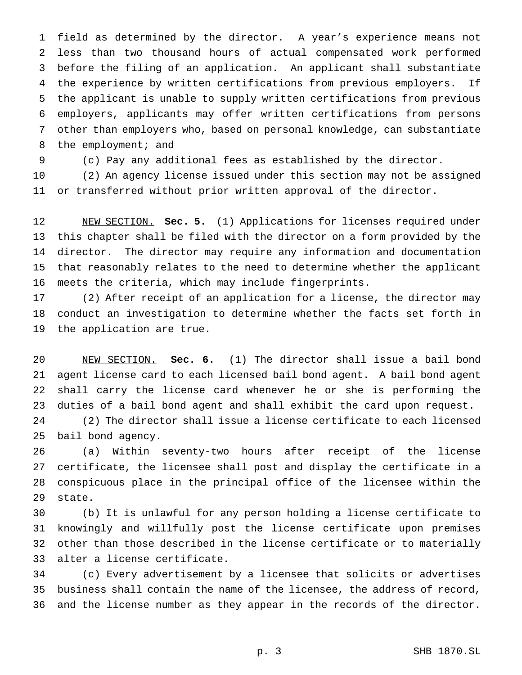field as determined by the director. A year's experience means not less than two thousand hours of actual compensated work performed before the filing of an application. An applicant shall substantiate the experience by written certifications from previous employers. If the applicant is unable to supply written certifications from previous employers, applicants may offer written certifications from persons other than employers who, based on personal knowledge, can substantiate 8 the employment; and

(c) Pay any additional fees as established by the director.

 (2) An agency license issued under this section may not be assigned or transferred without prior written approval of the director.

 NEW SECTION. **Sec. 5.** (1) Applications for licenses required under this chapter shall be filed with the director on a form provided by the director. The director may require any information and documentation that reasonably relates to the need to determine whether the applicant meets the criteria, which may include fingerprints.

 (2) After receipt of an application for a license, the director may conduct an investigation to determine whether the facts set forth in the application are true.

 NEW SECTION. **Sec. 6.** (1) The director shall issue a bail bond agent license card to each licensed bail bond agent. A bail bond agent shall carry the license card whenever he or she is performing the duties of a bail bond agent and shall exhibit the card upon request.

 (2) The director shall issue a license certificate to each licensed bail bond agency.

 (a) Within seventy-two hours after receipt of the license certificate, the licensee shall post and display the certificate in a conspicuous place in the principal office of the licensee within the state.

 (b) It is unlawful for any person holding a license certificate to knowingly and willfully post the license certificate upon premises other than those described in the license certificate or to materially alter a license certificate.

 (c) Every advertisement by a licensee that solicits or advertises business shall contain the name of the licensee, the address of record, and the license number as they appear in the records of the director.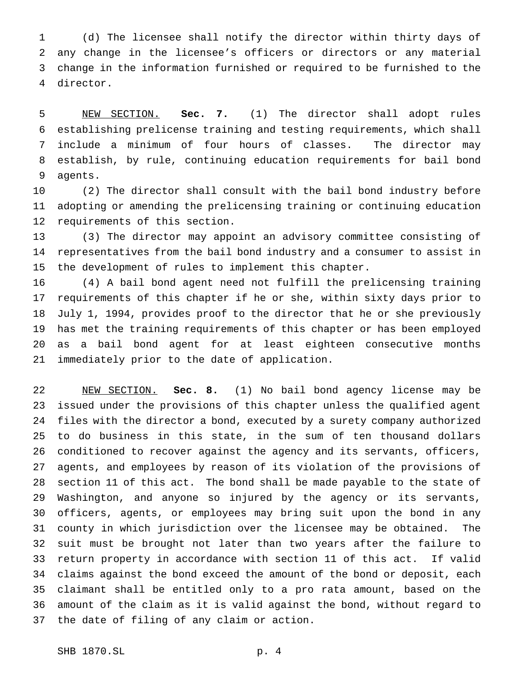(d) The licensee shall notify the director within thirty days of any change in the licensee's officers or directors or any material change in the information furnished or required to be furnished to the director.

 NEW SECTION. **Sec. 7.** (1) The director shall adopt rules establishing prelicense training and testing requirements, which shall include a minimum of four hours of classes. The director may establish, by rule, continuing education requirements for bail bond agents.

 (2) The director shall consult with the bail bond industry before adopting or amending the prelicensing training or continuing education requirements of this section.

 (3) The director may appoint an advisory committee consisting of representatives from the bail bond industry and a consumer to assist in the development of rules to implement this chapter.

 (4) A bail bond agent need not fulfill the prelicensing training requirements of this chapter if he or she, within sixty days prior to July 1, 1994, provides proof to the director that he or she previously has met the training requirements of this chapter or has been employed as a bail bond agent for at least eighteen consecutive months immediately prior to the date of application.

 NEW SECTION. **Sec. 8.** (1) No bail bond agency license may be issued under the provisions of this chapter unless the qualified agent files with the director a bond, executed by a surety company authorized to do business in this state, in the sum of ten thousand dollars conditioned to recover against the agency and its servants, officers, agents, and employees by reason of its violation of the provisions of section 11 of this act. The bond shall be made payable to the state of Washington, and anyone so injured by the agency or its servants, officers, agents, or employees may bring suit upon the bond in any county in which jurisdiction over the licensee may be obtained. The suit must be brought not later than two years after the failure to return property in accordance with section 11 of this act. If valid claims against the bond exceed the amount of the bond or deposit, each claimant shall be entitled only to a pro rata amount, based on the amount of the claim as it is valid against the bond, without regard to the date of filing of any claim or action.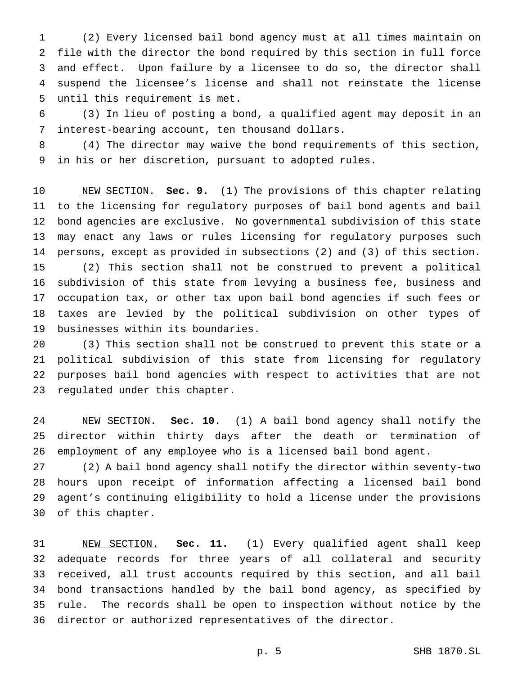(2) Every licensed bail bond agency must at all times maintain on file with the director the bond required by this section in full force and effect. Upon failure by a licensee to do so, the director shall suspend the licensee's license and shall not reinstate the license until this requirement is met.

 (3) In lieu of posting a bond, a qualified agent may deposit in an interest-bearing account, ten thousand dollars.

 (4) The director may waive the bond requirements of this section, in his or her discretion, pursuant to adopted rules.

 NEW SECTION. **Sec. 9.** (1) The provisions of this chapter relating to the licensing for regulatory purposes of bail bond agents and bail bond agencies are exclusive. No governmental subdivision of this state may enact any laws or rules licensing for regulatory purposes such persons, except as provided in subsections (2) and (3) of this section. (2) This section shall not be construed to prevent a political subdivision of this state from levying a business fee, business and occupation tax, or other tax upon bail bond agencies if such fees or taxes are levied by the political subdivision on other types of businesses within its boundaries.

 (3) This section shall not be construed to prevent this state or a political subdivision of this state from licensing for regulatory purposes bail bond agencies with respect to activities that are not regulated under this chapter.

 NEW SECTION. **Sec. 10.** (1) A bail bond agency shall notify the director within thirty days after the death or termination of employment of any employee who is a licensed bail bond agent.

 (2) A bail bond agency shall notify the director within seventy-two hours upon receipt of information affecting a licensed bail bond agent's continuing eligibility to hold a license under the provisions of this chapter.

 NEW SECTION. **Sec. 11.** (1) Every qualified agent shall keep adequate records for three years of all collateral and security received, all trust accounts required by this section, and all bail bond transactions handled by the bail bond agency, as specified by rule. The records shall be open to inspection without notice by the director or authorized representatives of the director.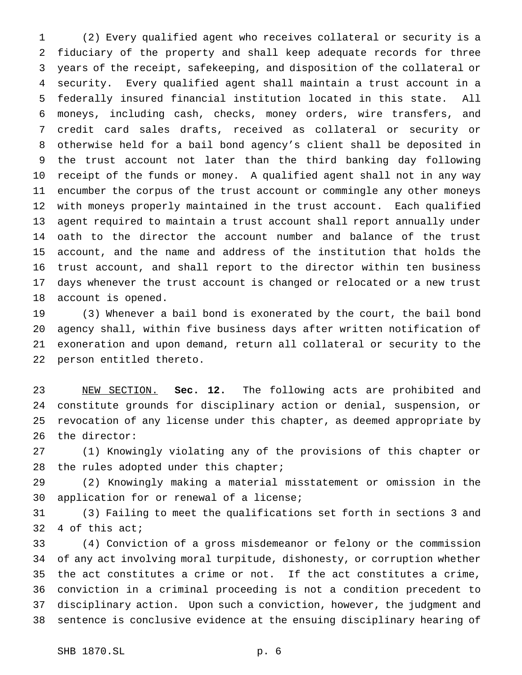(2) Every qualified agent who receives collateral or security is a fiduciary of the property and shall keep adequate records for three years of the receipt, safekeeping, and disposition of the collateral or security. Every qualified agent shall maintain a trust account in a federally insured financial institution located in this state. All moneys, including cash, checks, money orders, wire transfers, and credit card sales drafts, received as collateral or security or otherwise held for a bail bond agency's client shall be deposited in the trust account not later than the third banking day following receipt of the funds or money. A qualified agent shall not in any way encumber the corpus of the trust account or commingle any other moneys with moneys properly maintained in the trust account. Each qualified agent required to maintain a trust account shall report annually under oath to the director the account number and balance of the trust account, and the name and address of the institution that holds the trust account, and shall report to the director within ten business days whenever the trust account is changed or relocated or a new trust account is opened.

 (3) Whenever a bail bond is exonerated by the court, the bail bond agency shall, within five business days after written notification of exoneration and upon demand, return all collateral or security to the person entitled thereto.

 NEW SECTION. **Sec. 12.** The following acts are prohibited and constitute grounds for disciplinary action or denial, suspension, or revocation of any license under this chapter, as deemed appropriate by the director:

 (1) Knowingly violating any of the provisions of this chapter or 28 the rules adopted under this chapter;

 (2) Knowingly making a material misstatement or omission in the application for or renewal of a license;

 (3) Failing to meet the qualifications set forth in sections 3 and 4 of this act;

 (4) Conviction of a gross misdemeanor or felony or the commission of any act involving moral turpitude, dishonesty, or corruption whether the act constitutes a crime or not. If the act constitutes a crime, conviction in a criminal proceeding is not a condition precedent to disciplinary action. Upon such a conviction, however, the judgment and sentence is conclusive evidence at the ensuing disciplinary hearing of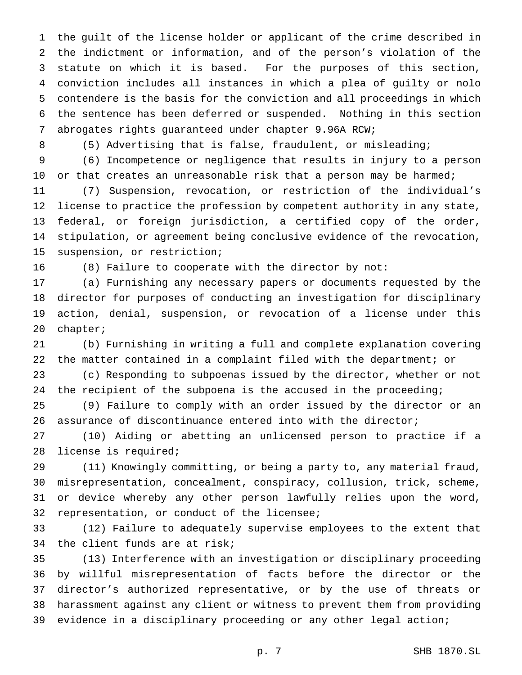the guilt of the license holder or applicant of the crime described in the indictment or information, and of the person's violation of the statute on which it is based. For the purposes of this section, conviction includes all instances in which a plea of guilty or nolo contendere is the basis for the conviction and all proceedings in which the sentence has been deferred or suspended. Nothing in this section abrogates rights guaranteed under chapter 9.96A RCW;

(5) Advertising that is false, fraudulent, or misleading;

 (6) Incompetence or negligence that results in injury to a person 10 or that creates an unreasonable risk that a person may be harmed;

 (7) Suspension, revocation, or restriction of the individual's license to practice the profession by competent authority in any state, federal, or foreign jurisdiction, a certified copy of the order, stipulation, or agreement being conclusive evidence of the revocation, suspension, or restriction;

(8) Failure to cooperate with the director by not:

 (a) Furnishing any necessary papers or documents requested by the director for purposes of conducting an investigation for disciplinary action, denial, suspension, or revocation of a license under this chapter;

 (b) Furnishing in writing a full and complete explanation covering the matter contained in a complaint filed with the department; or

 (c) Responding to subpoenas issued by the director, whether or not the recipient of the subpoena is the accused in the proceeding;

 (9) Failure to comply with an order issued by the director or an assurance of discontinuance entered into with the director;

 (10) Aiding or abetting an unlicensed person to practice if a license is required;

 (11) Knowingly committing, or being a party to, any material fraud, misrepresentation, concealment, conspiracy, collusion, trick, scheme, or device whereby any other person lawfully relies upon the word, representation, or conduct of the licensee;

 (12) Failure to adequately supervise employees to the extent that the client funds are at risk;

 (13) Interference with an investigation or disciplinary proceeding by willful misrepresentation of facts before the director or the director's authorized representative, or by the use of threats or harassment against any client or witness to prevent them from providing evidence in a disciplinary proceeding or any other legal action;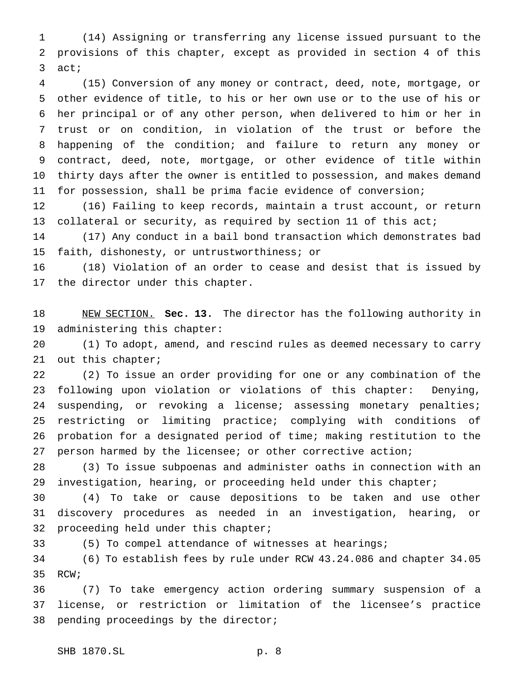(14) Assigning or transferring any license issued pursuant to the provisions of this chapter, except as provided in section 4 of this act;

 (15) Conversion of any money or contract, deed, note, mortgage, or other evidence of title, to his or her own use or to the use of his or her principal or of any other person, when delivered to him or her in trust or on condition, in violation of the trust or before the happening of the condition; and failure to return any money or contract, deed, note, mortgage, or other evidence of title within thirty days after the owner is entitled to possession, and makes demand for possession, shall be prima facie evidence of conversion;

 (16) Failing to keep records, maintain a trust account, or return 13 collateral or security, as required by section 11 of this act;

 (17) Any conduct in a bail bond transaction which demonstrates bad faith, dishonesty, or untrustworthiness; or

 (18) Violation of an order to cease and desist that is issued by the director under this chapter.

 NEW SECTION. **Sec. 13.** The director has the following authority in administering this chapter:

 (1) To adopt, amend, and rescind rules as deemed necessary to carry out this chapter;

 (2) To issue an order providing for one or any combination of the following upon violation or violations of this chapter: Denying, 24 suspending, or revoking a license; assessing monetary penalties; restricting or limiting practice; complying with conditions of probation for a designated period of time; making restitution to the person harmed by the licensee; or other corrective action;

 (3) To issue subpoenas and administer oaths in connection with an investigation, hearing, or proceeding held under this chapter;

 (4) To take or cause depositions to be taken and use other discovery procedures as needed in an investigation, hearing, or proceeding held under this chapter;

(5) To compel attendance of witnesses at hearings;

 (6) To establish fees by rule under RCW 43.24.086 and chapter 34.05 RCW;

 (7) To take emergency action ordering summary suspension of a license, or restriction or limitation of the licensee's practice pending proceedings by the director;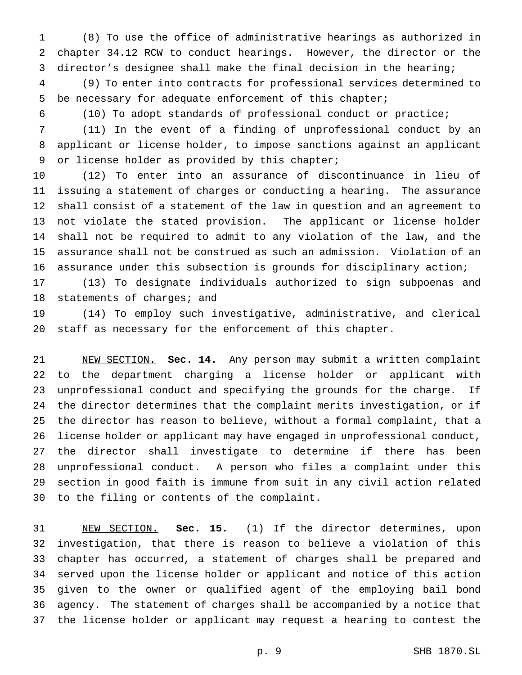(8) To use the office of administrative hearings as authorized in chapter 34.12 RCW to conduct hearings. However, the director or the director's designee shall make the final decision in the hearing;

 (9) To enter into contracts for professional services determined to be necessary for adequate enforcement of this chapter;

(10) To adopt standards of professional conduct or practice;

 (11) In the event of a finding of unprofessional conduct by an applicant or license holder, to impose sanctions against an applicant or license holder as provided by this chapter;

 (12) To enter into an assurance of discontinuance in lieu of issuing a statement of charges or conducting a hearing. The assurance shall consist of a statement of the law in question and an agreement to not violate the stated provision. The applicant or license holder shall not be required to admit to any violation of the law, and the assurance shall not be construed as such an admission. Violation of an assurance under this subsection is grounds for disciplinary action;

 (13) To designate individuals authorized to sign subpoenas and 18 statements of charges; and

 (14) To employ such investigative, administrative, and clerical staff as necessary for the enforcement of this chapter.

 NEW SECTION. **Sec. 14.** Any person may submit a written complaint to the department charging a license holder or applicant with unprofessional conduct and specifying the grounds for the charge. If the director determines that the complaint merits investigation, or if the director has reason to believe, without a formal complaint, that a license holder or applicant may have engaged in unprofessional conduct, the director shall investigate to determine if there has been unprofessional conduct. A person who files a complaint under this section in good faith is immune from suit in any civil action related to the filing or contents of the complaint.

 NEW SECTION. **Sec. 15.** (1) If the director determines, upon investigation, that there is reason to believe a violation of this chapter has occurred, a statement of charges shall be prepared and served upon the license holder or applicant and notice of this action given to the owner or qualified agent of the employing bail bond agency. The statement of charges shall be accompanied by a notice that the license holder or applicant may request a hearing to contest the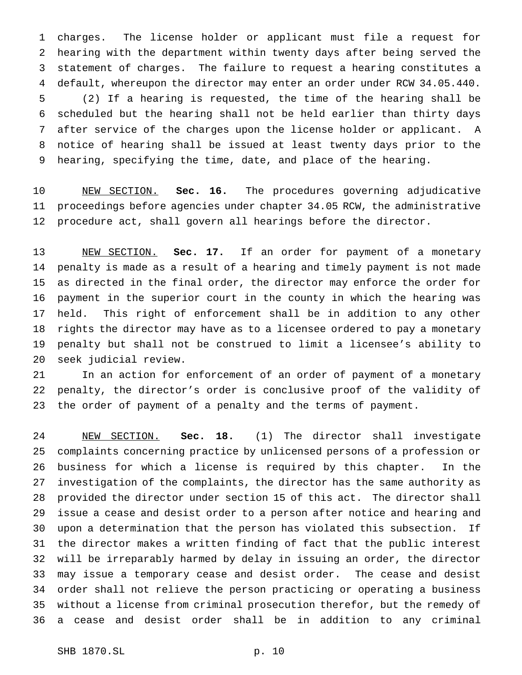charges. The license holder or applicant must file a request for hearing with the department within twenty days after being served the statement of charges. The failure to request a hearing constitutes a default, whereupon the director may enter an order under RCW 34.05.440. (2) If a hearing is requested, the time of the hearing shall be scheduled but the hearing shall not be held earlier than thirty days after service of the charges upon the license holder or applicant. A notice of hearing shall be issued at least twenty days prior to the hearing, specifying the time, date, and place of the hearing.

 NEW SECTION. **Sec. 16.** The procedures governing adjudicative proceedings before agencies under chapter 34.05 RCW, the administrative procedure act, shall govern all hearings before the director.

 NEW SECTION. **Sec. 17.** If an order for payment of a monetary penalty is made as a result of a hearing and timely payment is not made as directed in the final order, the director may enforce the order for payment in the superior court in the county in which the hearing was held. This right of enforcement shall be in addition to any other rights the director may have as to a licensee ordered to pay a monetary penalty but shall not be construed to limit a licensee's ability to seek judicial review.

 In an action for enforcement of an order of payment of a monetary penalty, the director's order is conclusive proof of the validity of the order of payment of a penalty and the terms of payment.

 NEW SECTION. **Sec. 18.** (1) The director shall investigate complaints concerning practice by unlicensed persons of a profession or business for which a license is required by this chapter. In the investigation of the complaints, the director has the same authority as provided the director under section 15 of this act. The director shall issue a cease and desist order to a person after notice and hearing and upon a determination that the person has violated this subsection. If the director makes a written finding of fact that the public interest will be irreparably harmed by delay in issuing an order, the director may issue a temporary cease and desist order. The cease and desist order shall not relieve the person practicing or operating a business without a license from criminal prosecution therefor, but the remedy of a cease and desist order shall be in addition to any criminal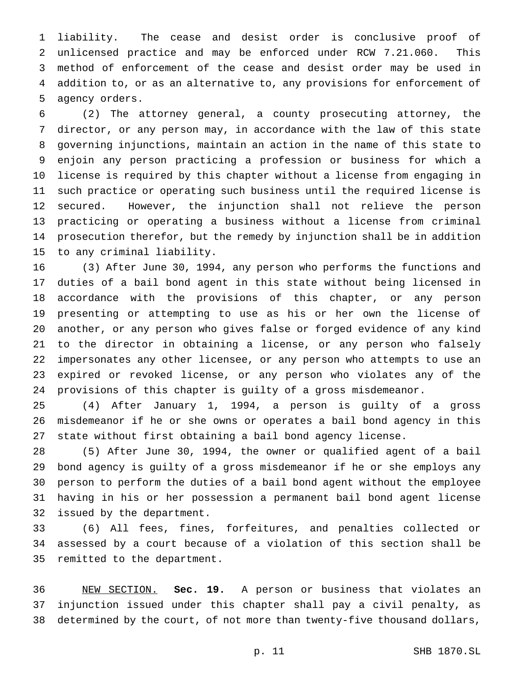liability. The cease and desist order is conclusive proof of unlicensed practice and may be enforced under RCW 7.21.060. This method of enforcement of the cease and desist order may be used in addition to, or as an alternative to, any provisions for enforcement of agency orders.

 (2) The attorney general, a county prosecuting attorney, the director, or any person may, in accordance with the law of this state governing injunctions, maintain an action in the name of this state to enjoin any person practicing a profession or business for which a license is required by this chapter without a license from engaging in such practice or operating such business until the required license is secured. However, the injunction shall not relieve the person practicing or operating a business without a license from criminal prosecution therefor, but the remedy by injunction shall be in addition to any criminal liability.

 (3) After June 30, 1994, any person who performs the functions and duties of a bail bond agent in this state without being licensed in accordance with the provisions of this chapter, or any person presenting or attempting to use as his or her own the license of another, or any person who gives false or forged evidence of any kind to the director in obtaining a license, or any person who falsely impersonates any other licensee, or any person who attempts to use an expired or revoked license, or any person who violates any of the provisions of this chapter is guilty of a gross misdemeanor.

 (4) After January 1, 1994, a person is guilty of a gross misdemeanor if he or she owns or operates a bail bond agency in this state without first obtaining a bail bond agency license.

 (5) After June 30, 1994, the owner or qualified agent of a bail bond agency is guilty of a gross misdemeanor if he or she employs any person to perform the duties of a bail bond agent without the employee having in his or her possession a permanent bail bond agent license issued by the department.

 (6) All fees, fines, forfeitures, and penalties collected or assessed by a court because of a violation of this section shall be remitted to the department.

 NEW SECTION. **Sec. 19.** A person or business that violates an injunction issued under this chapter shall pay a civil penalty, as determined by the court, of not more than twenty-five thousand dollars,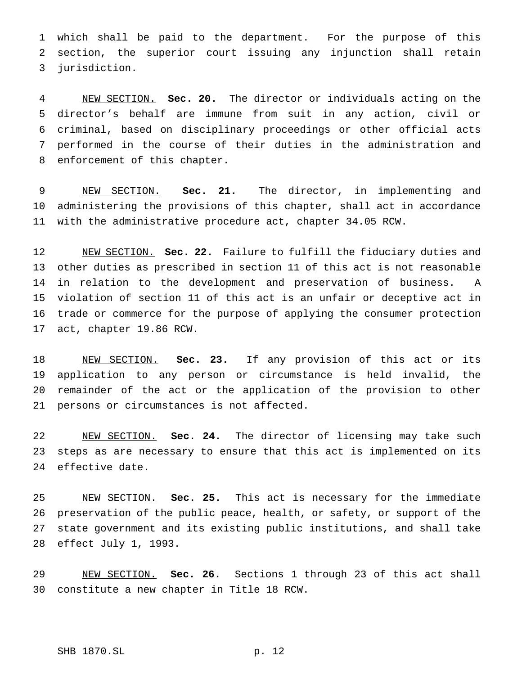which shall be paid to the department. For the purpose of this section, the superior court issuing any injunction shall retain jurisdiction.

 NEW SECTION. **Sec. 20.** The director or individuals acting on the director's behalf are immune from suit in any action, civil or criminal, based on disciplinary proceedings or other official acts performed in the course of their duties in the administration and enforcement of this chapter.

 NEW SECTION. **Sec. 21.** The director, in implementing and administering the provisions of this chapter, shall act in accordance with the administrative procedure act, chapter 34.05 RCW.

 NEW SECTION. **Sec. 22.** Failure to fulfill the fiduciary duties and other duties as prescribed in section 11 of this act is not reasonable in relation to the development and preservation of business. A violation of section 11 of this act is an unfair or deceptive act in trade or commerce for the purpose of applying the consumer protection act, chapter 19.86 RCW.

 NEW SECTION. **Sec. 23.** If any provision of this act or its application to any person or circumstance is held invalid, the remainder of the act or the application of the provision to other persons or circumstances is not affected.

 NEW SECTION. **Sec. 24.** The director of licensing may take such steps as are necessary to ensure that this act is implemented on its effective date.

 NEW SECTION. **Sec. 25.** This act is necessary for the immediate preservation of the public peace, health, or safety, or support of the state government and its existing public institutions, and shall take effect July 1, 1993.

 NEW SECTION. **Sec. 26.** Sections 1 through 23 of this act shall constitute a new chapter in Title 18 RCW.